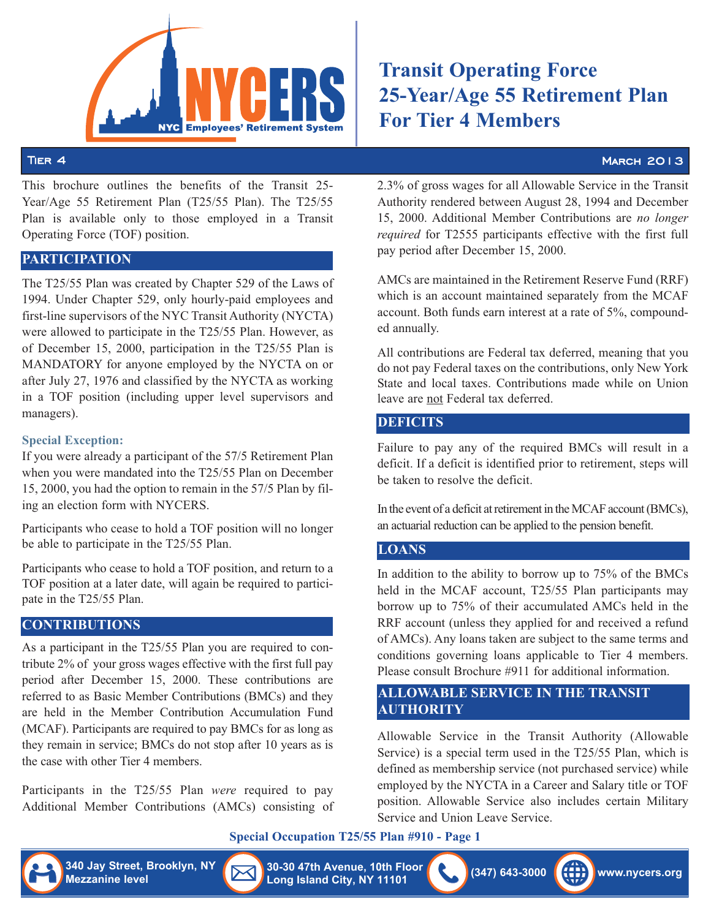

This brochure outlines the benefits of the Transit 25- Year/Age 55 Retirement Plan (T25/55 Plan). The T25/55 Plan is available only to those employed in a Transit Operating Force (TOF) position.

## **PARTICIPATION**

The T25/55 Plan was created by Chapter 529 of the Laws of 1994. Under Chapter 529, only hourly-paid employees and first-line supervisors of the NYC Transit Authority (NYCTA) were allowed to participate in the T25/55 Plan. However, as of December 15, 2000, participation in the T25/55 Plan is MANDATORY for anyone employed by the NYCTA on or after July 27, 1976 and classified by the NYCTA as working in a TOF position (including upper level supervisors and managers).

#### **Special Exception:**

If you were already a participant of the 57/5 Retirement Plan when you were mandated into the T25/55 Plan on December 15, 2000, you had the option to remain in the 57/5 Plan by filing an election form with NYCERS.

Participants who cease to hold a TOF position will no longer be able to participate in the T25/55 Plan.

Participants who cease to hold a TOF position, and return to a TOF position at a later date, will again be required to participate in the T25/55 Plan.

#### **CONTRIBUTIONS**

As a participant in the T25/55 Plan you are required to contribute 2% of your gross wages effective with the first full pay period after December 15, 2000. These contributions are referred to as Basic Member Contributions (BMCs) and they are held in the Member Contribution Accumulation Fund (MCAF). Participants are required to pay BMCs for as long as they remain in service; BMCs do not stop after 10 years as is the case with other Tier 4 members.

Participants in the T25/55 Plan *were* required to pay Additional Member Contributions (AMCs) consisting of

# **Transit Operating Force 25-Year/Age 55 Retirement Plan For Tier 4 Members**

#### Tier  $4$  March 2013  $\sim$  March 2013

2.3% of gross wages for all Allowable Service in the Transit Authority rendered between August 28, 1994 and December 15, 2000. Additional Member Contributions are *no longer required* for T2555 participants effective with the first full pay period after December 15, 2000.

AMCs are maintained in the Retirement Reserve Fund (RRF) which is an account maintained separately from the MCAF account. Both funds earn interest at a rate of 5%, compounded annually.

All contributions are Federal tax deferred, meaning that you do not pay Federal taxes on the contributions, only New York State and local taxes. Contributions made while on Union leave are not Federal tax deferred.

#### **DEFICITS**

Failure to pay any of the required BMCs will result in a deficit. If a deficit is identified prior to retirement, steps will be taken to resolve the deficit.

In the event of a deficit at retirement in the MCAF account (BMCs), an actuarial reduction can be applied to the pension benefit.

# **LOANS**

In addition to the ability to borrow up to 75% of the BMCs held in the MCAF account, T25/55 Plan participants may borrow up to 75% of their accumulated AMCs held in the RRF account (unless they applied for and received a refund of AMCs). Any loans taken are subject to the same terms and conditions governing loans applicable to Tier 4 members. Please consult Brochure #911 for additional information. **340 Jay Street, Brooklyn, NY** Corresponding the Corresponding the Corresponding the Corresponding the Corresponding the Corresponding to the S725 Reinstein Plant is to the required HMCs will result in a series decay a pa **Measure 1988** Space in the straight and the straight and the straight and the straight and the extendion of the straight and the content of the straight and the properties. The the straight and the straight and the straig

### **ALLOWABLE SERVICE IN THE TRANSIT AUTHORITY**

Allowable Service in the Transit Authority (Allowable Service) is a special term used in the T25/55 Plan, which is defined as membership service (not purchased service) while employed by the NYCTA in a Career and Salary title or TOF position. Allowable Service also includes certain Military Service and Union Leave Service.

#### **Special Occupation T25/55 Plan #910 - Page 1**

**Long Island City, NY 11101**